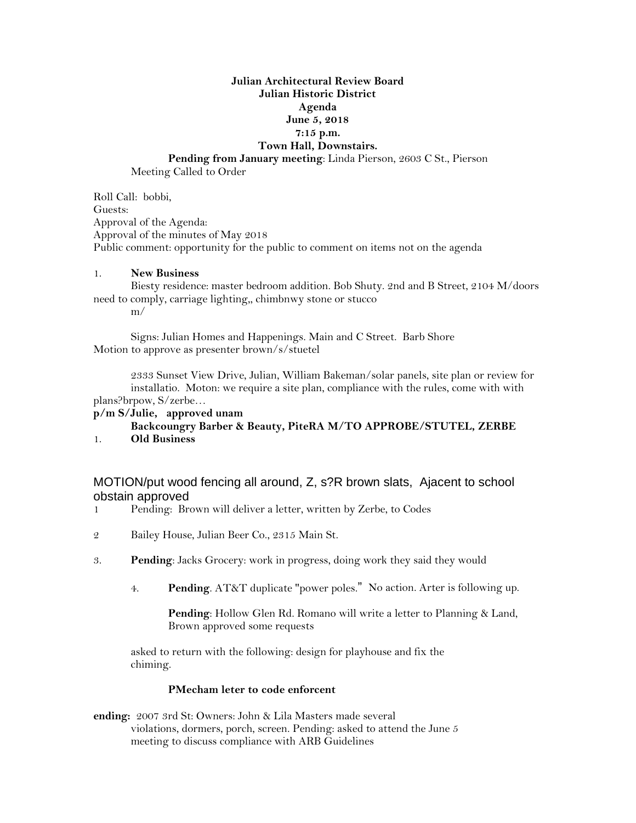# **Julian Architectural Review Board Julian Historic District Agenda June 5, 2018 7:15 p.m. Town Hall, Downstairs. Pending from January meeting**: Linda Pierson, 2603 C St., Pierson

Meeting Called to Order

Roll Call: bobbi, Guests: Approval of the Agenda: Approval of the minutes of May 2018 Public comment: opportunity for the public to comment on items not on the agenda

#### 1. **New Business**

Biesty residence: master bedroom addition. Bob Shuty. 2nd and B Street, 2104 M/doors need to comply, carriage lighting,, chimbnwy stone or stucco m/

Signs: Julian Homes and Happenings. Main and C Street. Barb Shore Motion to approve as presenter brown/s/stuetel

2333 Sunset View Drive, Julian, William Bakeman/solar panels, site plan or review for installatio. Moton: we require a site plan, compliance with the rules, come with with plans?brpow, S/zerbe…

### **p/m S/Julie, approved unam**

#### **Backcoungry Barber & Beauty, PiteRA M/TO APPROBE/STUTEL, ZERBE**

1. **Old Business**

## MOTION/put wood fencing all around, Z, s?R brown slats, Ajacent to school obstain approved

- 1 Pending: Brown will deliver a letter, written by Zerbe, to Codes
- 2 Bailey House, Julian Beer Co., 2315 Main St.
- 3. **Pending**: Jacks Grocery: work in progress, doing work they said they would
	- 4. **Pending**. AT&T duplicate "power poles." No action. Arter is following up.

**Pending**: Hollow Glen Rd. Romano will write a letter to Planning & Land, Brown approved some requests

asked to return with the following: design for playhouse and fix the chiming.

#### **PMecham leter to code enforcent**

**ending:** 2007 3rd St: Owners: John & Lila Masters made several violations, dormers, porch, screen. Pending: asked to attend the June 5 meeting to discuss compliance with ARB Guidelines